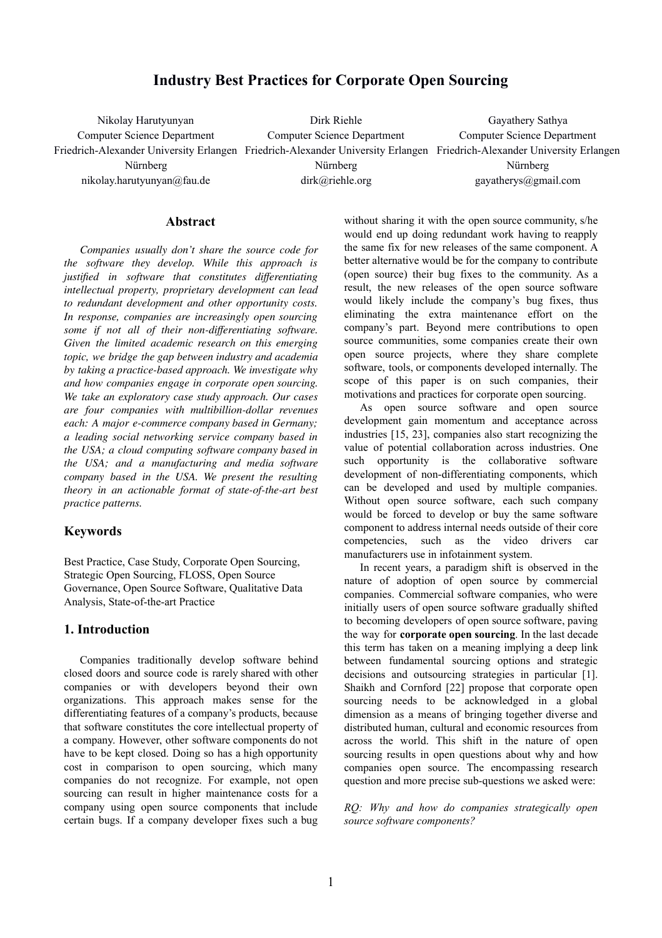# **Industry Best Practices for Corporate Open Sourcing**

Nikolay Harutyunyan Computer Science Department Friedrich-Alexander University Erlangen Friedrich-Alexander University Erlangen Friedrich-Alexander University Erlangen Nürnberg nikolay.harutyunyan@fau.de Dirk Riehle Computer Science Department Nürnberg dirk@riehle.org Gayathery Sathya Computer Science Department Nürnberg gayatherys@gmail.com

#### **Abstract**

*Companies usually don't share the source code for the software they develop. While this approach is justified in software that constitutes differentiating intellectual property, proprietary development can lead to redundant development and other opportunity costs. In response, companies are increasingly open sourcing some if not all of their non-differentiating software. Given the limited academic research on this emerging topic, we bridge the gap between industry and academia by taking a practice-based approach. We investigate why and how companies engage in corporate open sourcing. We take an exploratory case study approach. Our cases are four companies with multibillion-dollar revenues each: A major e-commerce company based in Germany; a leading social networking service company based in the USA; a cloud computing software company based in the USA; and a manufacturing and media software company based in the USA. We present the resulting theory in an actionable format of state-of-the-art best practice patterns.*

### **Keywords**

Best Practice, Case Study, Corporate Open Sourcing, Strategic Open Sourcing, FLOSS, Open Source Governance, Open Source Software, Qualitative Data Analysis, State-of-the-art Practice

# **1. Introduction**

Companies traditionally develop software behind closed doors and source code is rarely shared with other companies or with developers beyond their own organizations. This approach makes sense for the differentiating features of a company's products, because that software constitutes the core intellectual property of a company. However, other software components do not have to be kept closed. Doing so has a high opportunity cost in comparison to open sourcing, which many companies do not recognize. For example, not open sourcing can result in higher maintenance costs for a company using open source components that include certain bugs. If a company developer fixes such a bug

without sharing it with the open source community, s/he would end up doing redundant work having to reapply the same fix for new releases of the same component. A better alternative would be for the company to contribute (open source) their bug fixes to the community. As a result, the new releases of the open source software would likely include the company's bug fixes, thus eliminating the extra maintenance effort on the company's part. Beyond mere contributions to open source communities, some companies create their own open source projects, where they share complete software, tools, or components developed internally. The scope of this paper is on such companies, their motivations and practices for corporate open sourcing.

As open source software and open source development gain momentum and acceptance across industries [15, 23], companies also start recognizing the value of potential collaboration across industries. One such opportunity is the collaborative software development of non-differentiating components, which can be developed and used by multiple companies. Without open source software, each such company would be forced to develop or buy the same software component to address internal needs outside of their core competencies, such as the video drivers car manufacturers use in infotainment system.

In recent years, a paradigm shift is observed in the nature of adoption of open source by commercial companies. Commercial software companies, who were initially users of open source software gradually shifted to becoming developers of open source software, paving the way for **corporate open sourcing**. In the last decade this term has taken on a meaning implying a deep link between fundamental sourcing options and strategic decisions and outsourcing strategies in particular [1]. Shaikh and Cornford [22] propose that corporate open sourcing needs to be acknowledged in a global dimension as a means of bringing together diverse and distributed human, cultural and economic resources from across the world. This shift in the nature of open sourcing results in open questions about why and how companies open source. The encompassing research question and more precise sub-questions we asked were:

*RQ: Why and how do companies strategically open source software components?*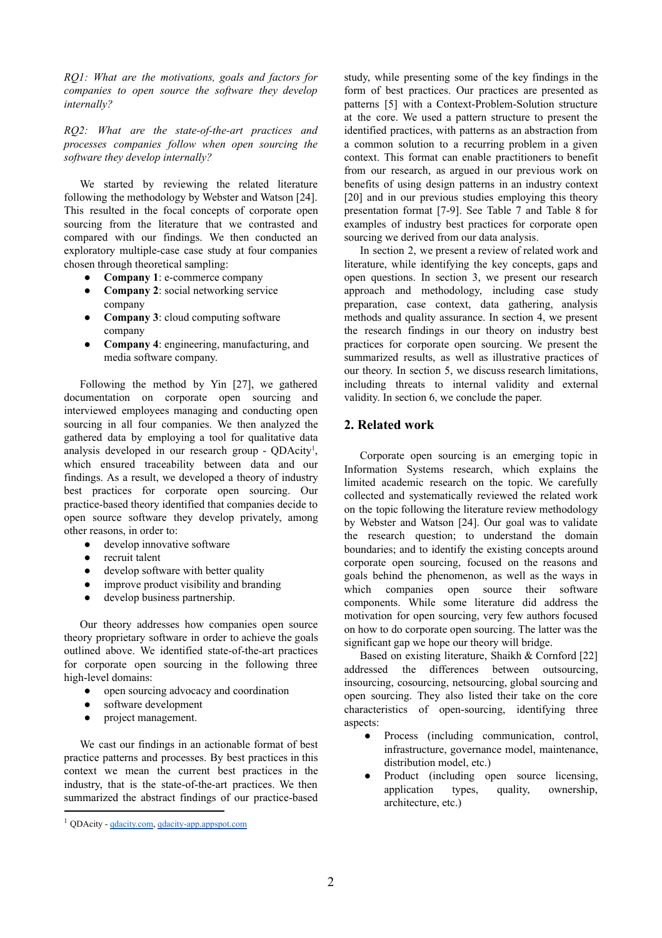*RQ1: What are the motivations, goals and factors for companies to open source the software they develop internally?*

*RQ2: What are the state-of-the-art practices and processes companies follow when open sourcing the software they develop internally?*

We started by reviewing the related literature following the methodology by Webster and Watson [24]. This resulted in the focal concepts of corporate open sourcing from the literature that we contrasted and compared with our findings. We then conducted an exploratory multiple-case case study at four companies chosen through theoretical sampling:

- **Company 1**: e-commerce company
- **Company 2**: social networking service company
- **Company 3**: cloud computing software company
- **Company 4**: engineering, manufacturing, and media software company.

Following the method by Yin [27], we gathered documentation on corporate open sourcing and interviewed employees managing and conducting open sourcing in all four companies. We then analyzed the gathered data by employing a tool for qualitative data analysis developed in our research group - QDAcity<sup>1</sup>, which ensured traceability between data and our findings. As a result, we developed a theory of industry best practices for corporate open sourcing. Our practice-based theory identified that companies decide to open source software they develop privately, among other reasons, in order to:

- develop innovative software
- recruit talent
- develop software with better quality
- improve product visibility and branding
- develop business partnership.

Our theory addresses how companies open source theory proprietary software in order to achieve the goals outlined above. We identified state-of-the-art practices for corporate open sourcing in the following three high-level domains:

- open sourcing advocacy and coordination
- software development
- project management.

We cast our findings in an actionable format of best practice patterns and processes. By best practices in this context we mean the current best practices in the industry, that is the state-of-the-art practices. We then summarized the abstract findings of our practice-based study, while presenting some of the key findings in the form of best practices. Our practices are presented as patterns [5] with a Context-Problem-Solution structure at the core. We used a pattern structure to present the identified practices, with patterns as an abstraction from a common solution to a recurring problem in a given context. This format can enable practitioners to benefit from our research, as argued in our previous work on benefits of using design patterns in an industry context [20] and in our previous studies employing this theory presentation format [7-9]. See Table 7 and Table 8 for examples of industry best practices for corporate open sourcing we derived from our data analysis.

In section 2, we present a review of related work and literature, while identifying the key concepts, gaps and open questions. In section 3, we present our research approach and methodology, including case study preparation, case context, data gathering, analysis methods and quality assurance. In section 4, we present the research findings in our theory on industry best practices for corporate open sourcing. We present the summarized results, as well as illustrative practices of our theory. In section 5, we discuss research limitations, including threats to internal validity and external validity. In section 6, we conclude the paper.

# **2. Related work**

Corporate open sourcing is an emerging topic in Information Systems research, which explains the limited academic research on the topic. We carefully collected and systematically reviewed the related work on the topic following the literature review methodology by Webster and Watson [24]. Our goal was to validate the research question; to understand the domain boundaries; and to identify the existing concepts around corporate open sourcing, focused on the reasons and goals behind the phenomenon, as well as the ways in which companies open source their software components. While some literature did address the motivation for open sourcing, very few authors focused on how to do corporate open sourcing. The latter was the significant gap we hope our theory will bridge.

Based on existing literature, Shaikh & Cornford [22] addressed the differences between outsourcing, insourcing, cosourcing, netsourcing, global sourcing and open sourcing. They also listed their take on the core characteristics of open-sourcing, identifying three aspects:

- Process (including communication, control, infrastructure, governance model, maintenance, distribution model, etc.)
- Product (including open source licensing, application types, quality, ownership, architecture, etc.)

 $<sup>1</sup>$  ODAcity - adacity.com, adacity-app.appspot.com</sup>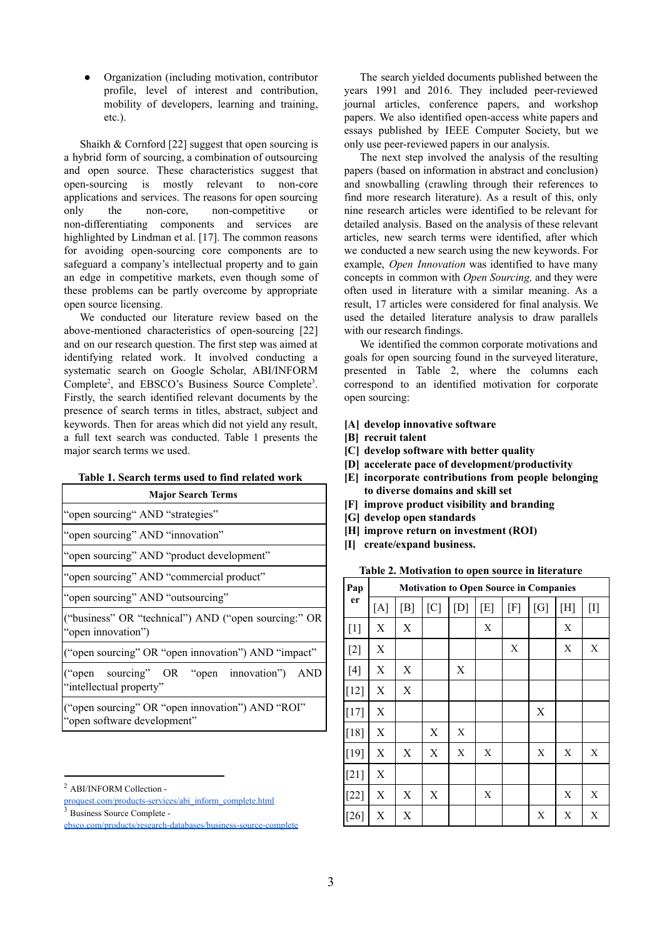Organization (including motivation, contributor profile, level of interest and contribution, mobility of developers, learning and training, etc.).

Shaikh & Cornford [22] suggest that open sourcing is a hybrid form of sourcing, a combination of outsourcing and open source. These characteristics suggest that open-sourcing is mostly relevant to non-core applications and services. The reasons for open sourcing only the non-core, non-competitive or non-differentiating components and services are highlighted by Lindman et al. [17]. The common reasons for avoiding open-sourcing core components are to safeguard a company's intellectual property and to gain an edge in competitive markets, even though some of these problems can be partly overcome by appropriate open source licensing.

We conducted our literature review based on the above-mentioned characteristics of open-sourcing [22] and on our research question. The first step was aimed at identifying related work. It involved conducting a systematic search on Google Scholar, ABI/INFORM Complete<sup>2</sup>, and EBSCO's Business Source Complete<sup>3</sup>. Firstly, the search identified relevant documents by the presence of search terms in titles, abstract, subject and keywords. Then for areas which did not yield any result, a full text search was conducted. Table 1 presents the major search terms we used.

|  |  |  | Table 1. Search terms used to find related work |  |
|--|--|--|-------------------------------------------------|--|
|  |  |  |                                                 |  |

| <b>Major Search Terms</b>                                                       |  |  |  |  |
|---------------------------------------------------------------------------------|--|--|--|--|
| "open sourcing" AND "strategies"                                                |  |  |  |  |
| "open sourcing" AND "innovation"                                                |  |  |  |  |
| "open sourcing" AND "product development"                                       |  |  |  |  |
| "open sourcing" AND "commercial product"                                        |  |  |  |  |
| "open sourcing" AND "outsourcing"                                               |  |  |  |  |
| ("business" OR "technical") AND ("open sourcing:" OR<br>"open innovation")      |  |  |  |  |
| ("open sourcing" OR "open innovation") AND "impact"                             |  |  |  |  |
| ("open sourcing" OR "open innovation") AND<br>"intellectual property"           |  |  |  |  |
| ("open sourcing" OR "open innovation") AND "ROI"<br>"open software development" |  |  |  |  |

<sup>3</sup> Business Source Complete -

The search yielded documents published between the years 1991 and 2016. They included peer-reviewed journal articles, conference papers, and workshop papers. We also identified open-access white papers and essays published by IEEE Computer Society, but we only use peer-reviewed papers in our analysis.

The next step involved the analysis of the resulting papers (based on information in abstract and conclusion) and snowballing (crawling through their references to find more research literature). As a result of this, only nine research articles were identified to be relevant for detailed analysis. Based on the analysis of these relevant articles, new search terms were identified, after which we conducted a new search using the new keywords. For example, *Open Innovation* was identified to have many concepts in common with *Open Sourcing,* and they were often used in literature with a similar meaning. As a result, 17 articles were considered for final analysis. We used the detailed literature analysis to draw parallels with our research findings.

We identified the common corporate motivations and goals for open sourcing found in the surveyed literature, presented in Table 2, where the columns each correspond to an identified motivation for corporate open sourcing:

- **[A] develop innovative software**
- **[B] recruit talent**
- **[C] develop software with better quality**
- **[D] accelerate pace of development/productivity**
- **[E] incorporate contributions from people belonging to diverse domains and skill set**
- **[F] improve product visibility and branding**
- **[G] develop open standards**
- **[H] improve return on investment (ROI)**
- **[I] create/expand business.**

**Table 2. Motivation to open source in literature**

| Pap    | <b>Motivation to Open Source in Companies</b> |             |     |     |     |             |     |     |       |
|--------|-----------------------------------------------|-------------|-----|-----|-----|-------------|-----|-----|-------|
| er     | [A]                                           | [B]         | [C] | [D] | [E] | $[{\rm F}]$ | [G] | [H] | $[1]$ |
| $[1]$  | X                                             | X           |     |     | X   |             |     | X   |       |
| $[2]$  | Χ                                             |             |     |     |     | X           |     | X   | X     |
| $[4]$  | X                                             | X           |     | X   |     |             |     |     |       |
| $[12]$ | Χ                                             | X           |     |     |     |             |     |     |       |
| $[17]$ | Χ                                             |             |     |     |     |             | X   |     |       |
| $[18]$ | X                                             |             | X   | X   |     |             |     |     |       |
| $[19]$ | X                                             | $\mathbf X$ | X   | X   | X   |             | X   | X   | X     |
| $[21]$ | Χ                                             |             |     |     |     |             |     |     |       |
| $[22]$ | Χ                                             | X           | X   |     | X   |             |     | X   | X     |
| $[26]$ | X                                             | X           |     |     |     |             | Χ   | X   | X     |

<sup>2</sup> ABI/INFORM Collection -

[proquest.com/products-services/abi\\_inform\\_complete.html](https://www.proquest.com/products-services/abi_inform_complete.html)

[ebsco.com/products/research-databases/business-source-complete](https://www.ebsco.com/products/research-databases/business-source-complete)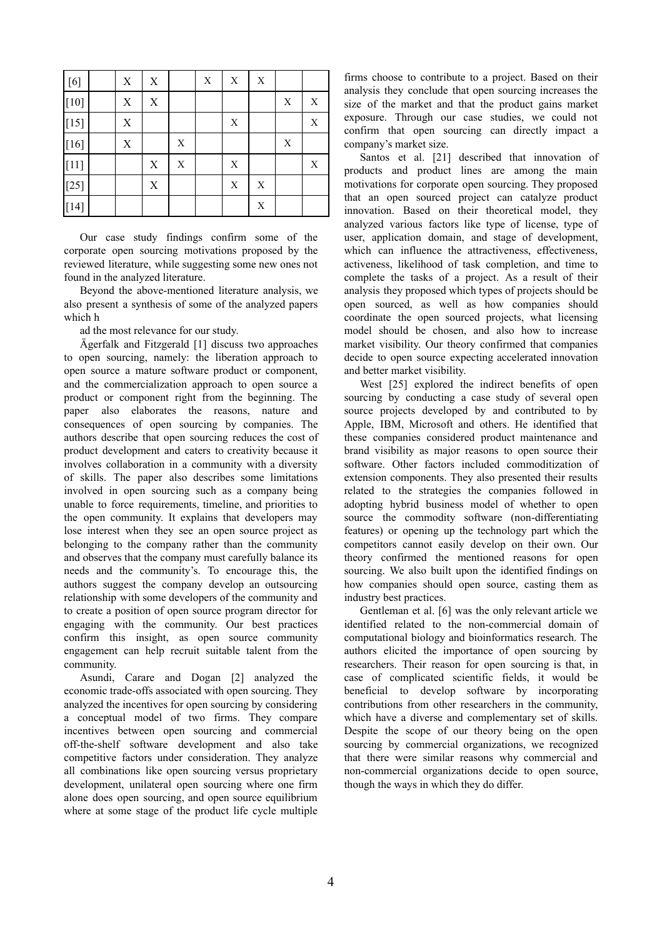| $[6]$             | $\mathbf X$ | X |   | $\mathbf X$ | $\mathbf X$ | X           |             |             |
|-------------------|-------------|---|---|-------------|-------------|-------------|-------------|-------------|
| $[10]$            | $\mathbf X$ | X |   |             |             |             | $\mathbf X$ | X           |
| $[15]$            | X           |   |   |             | $\mathbf X$ |             |             | $\mathbf X$ |
| $[16]$            | $\mathbf X$ |   | X |             |             |             | $\mathbf X$ |             |
| $\left[11\right]$ |             | X | X |             | $\mathbf X$ |             |             | X           |
| $[25]$            |             | X |   |             | $\mathbf X$ | $\mathbf X$ |             |             |
| $[14]$            |             |   |   |             |             | $\mathbf X$ |             |             |

Our case study findings confirm some of the corporate open sourcing motivations proposed by the reviewed literature, while suggesting some new ones not found in the analyzed literature.

Beyond the above-mentioned literature analysis, we also present a synthesis of some of the analyzed papers which h

ad the most relevance for our study.

Ägerfalk and Fitzgerald [1] discuss two approaches to open sourcing, namely: the liberation approach to open source a mature software product or component, and the commercialization approach to open source a product or component right from the beginning. The paper also elaborates the reasons, nature and consequences of open sourcing by companies. The authors describe that open sourcing reduces the cost of product development and caters to creativity because it involves collaboration in a community with a diversity of skills. The paper also describes some limitations involved in open sourcing such as a company being unable to force requirements, timeline, and priorities to the open community. It explains that developers may lose interest when they see an open source project as belonging to the company rather than the community and observes that the company must carefully balance its needs and the community's. To encourage this, the authors suggest the company develop an outsourcing relationship with some developers of the community and to create a position of open source program director for engaging with the community. Our best practices confirm this insight, as open source community engagement can help recruit suitable talent from the community.

Asundi, Carare and Dogan [2] analyzed the economic trade-offs associated with open sourcing. They analyzed the incentives for open sourcing by considering a conceptual model of two firms. They compare incentives between open sourcing and commercial off-the-shelf software development and also take competitive factors under consideration. They analyze all combinations like open sourcing versus proprietary development, unilateral open sourcing where one firm alone does open sourcing, and open source equilibrium where at some stage of the product life cycle multiple

firms choose to contribute to a project. Based on their analysis they conclude that open sourcing increases the size of the market and that the product gains market exposure. Through our case studies, we could not confirm that open sourcing can directly impact a company's market size.

Santos et al. [21] described that innovation of products and product lines are among the main motivations for corporate open sourcing. They proposed that an open sourced project can catalyze product innovation. Based on their theoretical model, they analyzed various factors like type of license, type of user, application domain, and stage of development, which can influence the attractiveness, effectiveness, activeness, likelihood of task completion, and time to complete the tasks of a project. As a result of their analysis they proposed which types of projects should be open sourced, as well as how companies should coordinate the open sourced projects, what licensing model should be chosen, and also how to increase market visibility. Our theory confirmed that companies decide to open source expecting accelerated innovation and better market visibility.

West [25] explored the indirect benefits of open sourcing by conducting a case study of several open source projects developed by and contributed to by Apple, IBM, Microsoft and others. He identified that these companies considered product maintenance and brand visibility as major reasons to open source their software. Other factors included commoditization of extension components. They also presented their results related to the strategies the companies followed in adopting hybrid business model of whether to open source the commodity software (non-differentiating features) or opening up the technology part which the competitors cannot easily develop on their own. Our theory confirmed the mentioned reasons for open sourcing. We also built upon the identified findings on how companies should open source, casting them as industry best practices.

Gentleman et al. [6] was the only relevant article we identified related to the non-commercial domain of computational biology and bioinformatics research. The authors elicited the importance of open sourcing by researchers. Their reason for open sourcing is that, in case of complicated scientific fields, it would be beneficial to develop software by incorporating contributions from other researchers in the community, which have a diverse and complementary set of skills. Despite the scope of our theory being on the open sourcing by commercial organizations, we recognized that there were similar reasons why commercial and non-commercial organizations decide to open source, though the ways in which they do differ.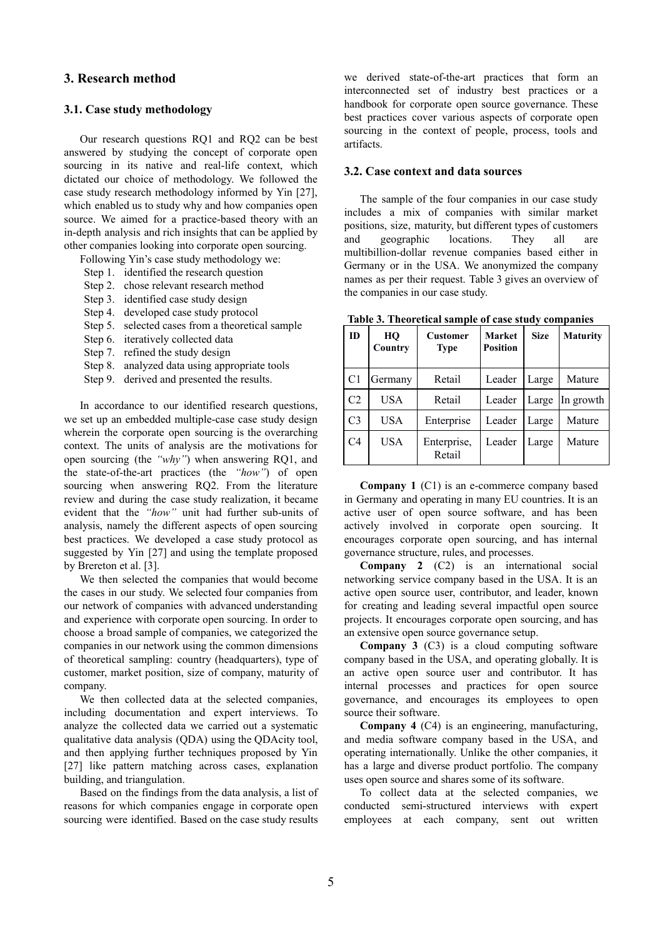### **3. Research method**

### **3.1. Case study methodology**

Our research questions RQ1 and RQ2 can be best answered by studying the concept of corporate open sourcing in its native and real-life context, which dictated our choice of methodology. We followed the case study research methodology informed by Yin [27], which enabled us to study why and how companies open source. We aimed for a practice-based theory with an in-depth analysis and rich insights that can be applied by other companies looking into corporate open sourcing.

Following Yin's case study methodology we:

- Step 1. identified the research question
- Step 2. chose relevant research method
- Step 3. identified case study design
- Step 4. developed case study protocol
- Step 5. selected cases from a theoretical sample
- Step 6. iteratively collected data
- Step 7. refined the study design
- Step 8. analyzed data using appropriate tools
- Step 9. derived and presented the results.

In accordance to our identified research questions, we set up an embedded multiple-case case study design wherein the corporate open sourcing is the overarching context. The units of analysis are the motivations for open sourcing (the *"why"*) when answering RQ1, and the state-of-the-art practices (the *"how"*) of open sourcing when answering RQ2. From the literature review and during the case study realization, it became evident that the *"how"* unit had further sub-units of analysis, namely the different aspects of open sourcing best practices. We developed a case study protocol as suggested by Yin [27] and using the template proposed by Brereton et al. [3].

We then selected the companies that would become the cases in our study. We selected four companies from our network of companies with advanced understanding and experience with corporate open sourcing. In order to choose a broad sample of companies, we categorized the companies in our network using the common dimensions of theoretical sampling: country (headquarters), type of customer, market position, size of company, maturity of company.

We then collected data at the selected companies, including documentation and expert interviews. To analyze the collected data we carried out a systematic qualitative data analysis (QDA) using the QDAcity tool, and then applying further techniques proposed by Yin [27] like pattern matching across cases, explanation building, and triangulation.

Based on the findings from the data analysis, a list of reasons for which companies engage in corporate open sourcing were identified. Based on the case study results we derived state-of-the-art practices that form an interconnected set of industry best practices or a handbook for corporate open source governance. These best practices cover various aspects of corporate open sourcing in the context of people, process, tools and artifacts.

#### **3.2. Case context and data sources**

The sample of the four companies in our case study includes a mix of companies with similar market positions, size, maturity, but different types of customers and geographic locations. They all are multibillion-dollar revenue companies based either in Germany or in the USA. We anonymized the company names as per their request. Table 3 gives an overview of the companies in our case study.

| ID             | HO<br>Country | <b>Customer</b><br><b>Type</b> | <b>Market</b><br><b>Position</b> | <b>Size</b> | <b>Maturity</b> |
|----------------|---------------|--------------------------------|----------------------------------|-------------|-----------------|
| C1             | Germany       | Retail                         | Leader                           | Large       | Mature          |
| C2             | USA           | Retail                         | Leader                           | Large       | In growth       |
| C <sub>3</sub> | USA           | Enterprise                     | Leader                           | Large       | Mature          |
| C <sub>4</sub> | USA           | Enterprise,<br>Retail          | Leader                           | Large       | Mature          |

**Table 3. Theoretical sample of case study companies**

**Company 1** (C1) is an e-commerce company based in Germany and operating in many EU countries. It is an active user of open source software, and has been actively involved in corporate open sourcing. It encourages corporate open sourcing, and has internal governance structure, rules, and processes.

**Company 2** (C2) is an international social networking service company based in the USA. It is an active open source user, contributor, and leader, known for creating and leading several impactful open source projects. It encourages corporate open sourcing, and has an extensive open source governance setup.

**Company 3** (C3) is a cloud computing software company based in the USA, and operating globally. It is an active open source user and contributor. It has internal processes and practices for open source governance, and encourages its employees to open source their software.

**Company 4** (C4) is an engineering, manufacturing, and media software company based in the USA, and operating internationally. Unlike the other companies, it has a large and diverse product portfolio. The company uses open source and shares some of its software.

To collect data at the selected companies, we conducted semi-structured interviews with expert employees at each company, sent out written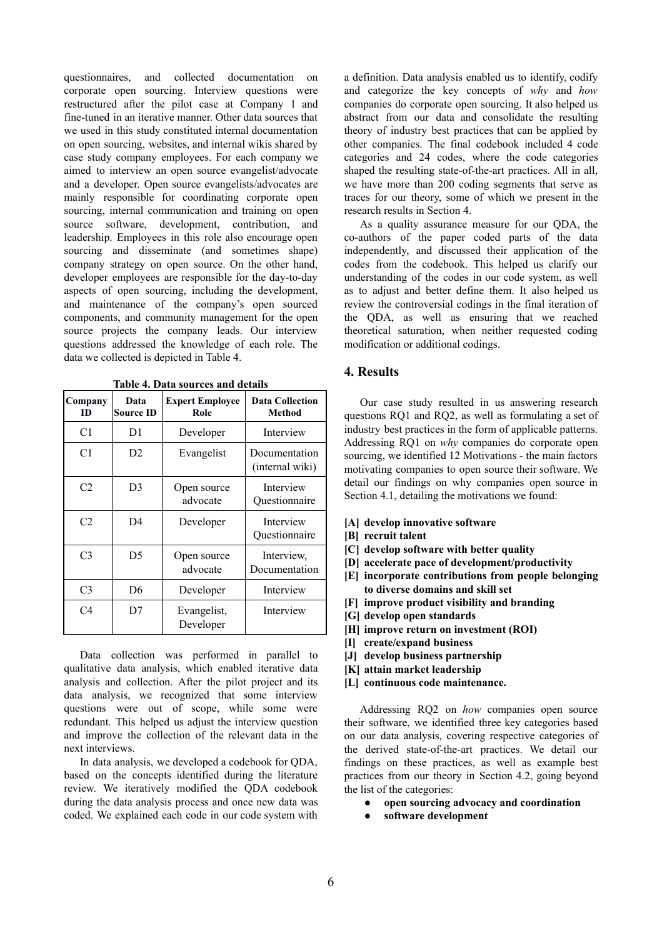questionnaires, and collected documentation on corporate open sourcing. Interview questions were restructured after the pilot case at Company 1 and fine-tuned in an iterative manner. Other data sources that we used in this study constituted internal documentation on open sourcing, websites, and internal wikis shared by case study company employees. For each company we aimed to interview an open source evangelist/advocate and a developer. Open source evangelists/advocates are mainly responsible for coordinating corporate open sourcing, internal communication and training on open source software, development, contribution, and leadership. Employees in this role also encourage open sourcing and disseminate (and sometimes shape) company strategy on open source. On the other hand, developer employees are responsible for the day-to-day aspects of open sourcing, including the development, and maintenance of the company's open sourced components, and community management for the open source projects the company leads. Our interview questions addressed the knowledge of each role. The data we collected is depicted in Table 4.

| Company<br>ID  | Data<br><b>Source ID</b> | <b>Expert Employee</b><br>Role | <b>Data Collection</b><br>Method |
|----------------|--------------------------|--------------------------------|----------------------------------|
| C1             | D1                       | Developer                      | Interview                        |
| C1             | D <sub>2</sub>           | Evangelist                     | Documentation<br>(internal wiki) |
| C <sub>2</sub> | D3                       | Open source<br>advocate        | Interview<br>Ouestionnaire       |
| C2             | D <sub>4</sub>           | Developer                      | Interview<br>Questionnaire       |
| C <sub>3</sub> | D5                       | Open source<br>advocate        | Interview,<br>Documentation      |
| C <sub>3</sub> | D6                       | Developer                      | Interview                        |
| C <sub>4</sub> | D7                       | Evangelist,<br>Developer       | Interview                        |

**Table 4. Data sources and details**

Data collection was performed in parallel to qualitative data analysis, which enabled iterative data analysis and collection. After the pilot project and its data analysis, we recognized that some interview questions were out of scope, while some were redundant. This helped us adjust the interview question and improve the collection of the relevant data in the next interviews.

In data analysis, we developed a codebook for QDA, based on the concepts identified during the literature review. We iteratively modified the QDA codebook during the data analysis process and once new data was coded. We explained each code in our code system with a definition. Data analysis enabled us to identify, codify and categorize the key concepts of *why* and *how* companies do corporate open sourcing. It also helped us abstract from our data and consolidate the resulting theory of industry best practices that can be applied by other companies. The final codebook included 4 code categories and 24 codes, where the code categories shaped the resulting state-of-the-art practices. All in all, we have more than 200 coding segments that serve as traces for our theory, some of which we present in the research results in Section 4.

As a quality assurance measure for our QDA, the co-authors of the paper coded parts of the data independently, and discussed their application of the codes from the codebook. This helped us clarify our understanding of the codes in our code system, as well as to adjust and better define them. It also helped us review the controversial codings in the final iteration of the QDA, as well as ensuring that we reached theoretical saturation, when neither requested coding modification or additional codings.

#### **4. Results**

Our case study resulted in us answering research questions RQ1 and RQ2, as well as formulating a set of industry best practices in the form of applicable patterns. Addressing RQ1 on *why* companies do corporate open sourcing, we identified 12 Motivations - the main factors motivating companies to open source their software. We detail our findings on why companies open source in Section 4.1, detailing the motivations we found:

- **[A] develop innovative software**
- **[B] recruit talent**
- **[C] develop software with better quality**
- **[D] accelerate pace of development/productivity**
- **[E] incorporate contributions from people belonging to diverse domains and skill set**
- **[F] improve product visibility and branding**
- **[G] develop open standards**
- **[H] improve return on investment (ROI)**
- **[I] create/expand business**
- **[J] develop business partnership**
- **[K] attain market leadership**
- **[L] continuous code maintenance.**

Addressing RQ2 on *how* companies open source their software, we identified three key categories based on our data analysis, covering respective categories of the derived state-of-the-art practices. We detail our findings on these practices, as well as example best practices from our theory in Section 4.2, going beyond the list of the categories:

- **● open sourcing advocacy and coordination**
- **● software development**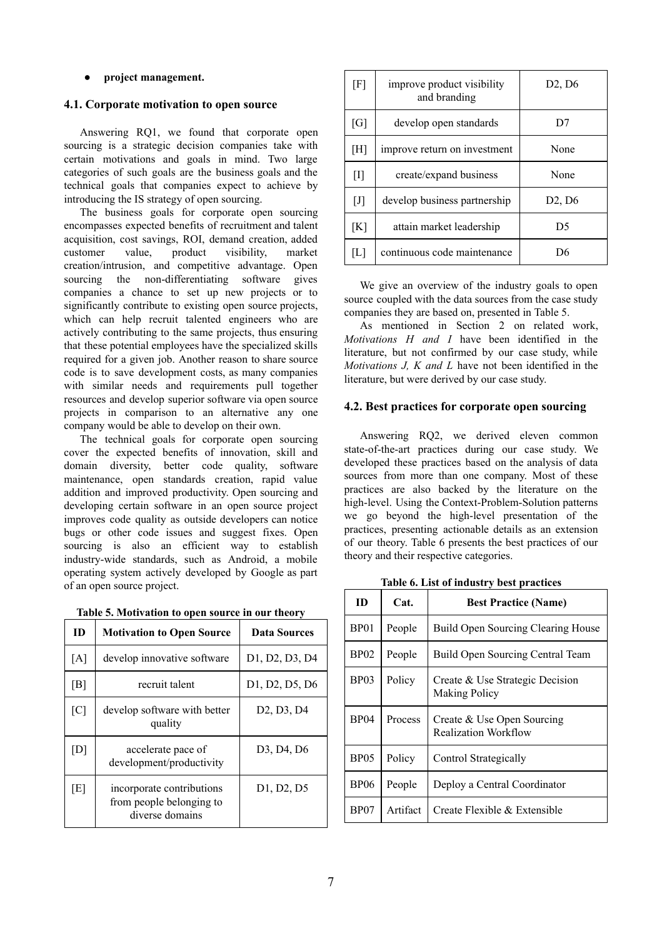#### **● project management.**

# **4.1. Corporate motivation to open source**

Answering RQ1, we found that corporate open sourcing is a strategic decision companies take with certain motivations and goals in mind. Two large categories of such goals are the business goals and the technical goals that companies expect to achieve by introducing the IS strategy of open sourcing.

The business goals for corporate open sourcing encompasses expected benefits of recruitment and talent acquisition, cost savings, ROI, demand creation, added customer value, product visibility, market creation/intrusion, and competitive advantage. Open sourcing the non-differentiating software gives companies a chance to set up new projects or to significantly contribute to existing open source projects, which can help recruit talented engineers who are actively contributing to the same projects, thus ensuring that these potential employees have the specialized skills required for a given job. Another reason to share source code is to save development costs, as many companies with similar needs and requirements pull together resources and develop superior software via open source projects in comparison to an alternative any one company would be able to develop on their own.

The technical goals for corporate open sourcing cover the expected benefits of innovation, skill and domain diversity, better code quality, software maintenance, open standards creation, rapid value addition and improved productivity. Open sourcing and developing certain software in an open source project improves code quality as outside developers can notice bugs or other code issues and suggest fixes. Open sourcing is also an efficient way to establish industry-wide standards, such as Android, a mobile operating system actively developed by Google as part of an open source project.

|  | Table 5. Motivation to open source in our theory |  |  |  |
|--|--------------------------------------------------|--|--|--|
|  |                                                  |  |  |  |

| ID  | <b>Motivation to Open Source</b>                                         | <b>Data Sources</b>                              |
|-----|--------------------------------------------------------------------------|--------------------------------------------------|
| [A] | develop innovative software                                              | D1, D2, D3, D4                                   |
| [B] | recruit talent                                                           | D1, D2, D5, D6                                   |
| [C] | develop software with better<br>quality                                  | D <sub>2</sub> , D <sub>3</sub> , D <sub>4</sub> |
| [D] | accelerate pace of<br>development/productivity                           | D3, D4, D6                                       |
| [E] | incorporate contributions<br>from people belonging to<br>diverse domains | D1, D2, D5                                       |

| [F]   | improve product visibility<br>and branding | D2, D6 |
|-------|--------------------------------------------|--------|
| [G]   | develop open standards                     | D7     |
| [H]   | improve return on investment               | None   |
| $[1]$ | create/expand business                     | None   |
| $[J]$ | develop business partnership               | D2, D6 |
| [K]   | attain market leadership                   | D5     |
| L     | continuous code maintenance                | D۴     |

We give an overview of the industry goals to open source coupled with the data sources from the case study companies they are based on, presented in Table 5.

As mentioned in Section 2 on related work, *Motivations H and I* have been identified in the literature, but not confirmed by our case study, while *Motivations J, K and L* have not been identified in the literature, but were derived by our case study.

#### **4.2. Best practices for corporate open sourcing**

Answering RQ2, we derived eleven common state-of-the-art practices during our case study. We developed these practices based on the analysis of data sources from more than one company. Most of these practices are also backed by the literature on the high-level. Using the Context-Problem-Solution patterns we go beyond the high-level presentation of the practices, presenting actionable details as an extension of our theory. Table 6 presents the best practices of our theory and their respective categories.

| ID               | Cat.     | <b>Best Practice (Name)</b>                               |
|------------------|----------|-----------------------------------------------------------|
| BP01             | People   | <b>Build Open Sourcing Clearing House</b>                 |
| BP02             | People   | Build Open Sourcing Central Team                          |
| <b>BP03</b>      | Policy   | Create & Use Strategic Decision<br><b>Making Policy</b>   |
| <b>BP04</b>      | Process  | Create & Use Open Sourcing<br><b>Realization Workflow</b> |
| <b>BP05</b>      | Policy   | Control Strategically                                     |
| <b>BP06</b>      | People   | Deploy a Central Coordinator                              |
| BP <sub>07</sub> | Artifact | Create Flexible & Extensible                              |

**Table 6. List of industry best practices**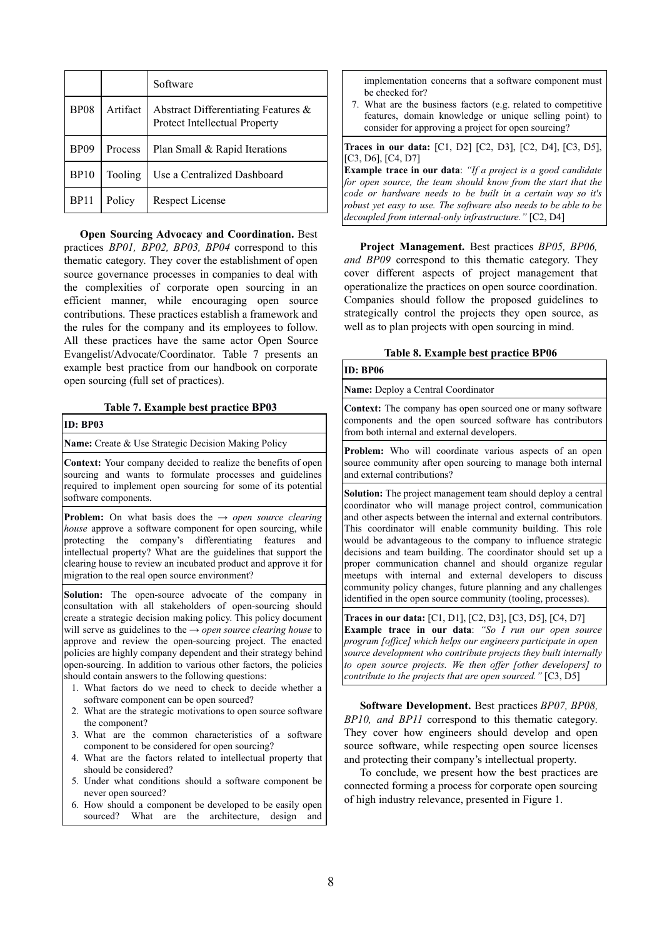|             |          | Software                                                             |
|-------------|----------|----------------------------------------------------------------------|
| <b>BP08</b> | Artifact | Abstract Differentiating Features &<br>Protect Intellectual Property |
| <b>BP09</b> | Process  | Plan Small & Rapid Iterations                                        |
| <b>BP10</b> | Tooling  | Use a Centralized Dashboard                                          |
| BP11        | Policy   | <b>Respect License</b>                                               |

**Open Sourcing Advocacy and Coordination.** Best practices *BP01, BP02, BP03, BP04* correspond to this thematic category. They cover the establishment of open source governance processes in companies to deal with the complexities of corporate open sourcing in an efficient manner, while encouraging open source contributions. These practices establish a framework and the rules for the company and its employees to follow. All these practices have the same actor Open Source Evangelist/Advocate/Coordinator. Table 7 presents an example best practice from our handbook on corporate open sourcing (full set of practices).

#### **Table 7. Example best practice BP03**

#### **ID: BP03**

**Name:** Create & Use Strategic Decision Making Policy

**Context:** Your company decided to realize the benefits of open sourcing and wants to formulate processes and guidelines required to implement open sourcing for some of its potential software components.

**Problem:** On what basis does the  $\rightarrow$  *open source clearing house* approve a software component for open sourcing, while protecting the company's differentiating features and intellectual property? What are the guidelines that support the clearing house to review an incubated product and approve it for migration to the real open source environment?

**Solution:** The open-source advocate of the company in consultation with all stakeholders of open-sourcing should create a strategic decision making policy. This policy document will serve as guidelines to the → *open source clearing house* to approve and review the open-sourcing project. The enacted policies are highly company dependent and their strategy behind open-sourcing. In addition to various other factors, the policies should contain answers to the following questions:

- 1. What factors do we need to check to decide whether a software component can be open sourced?
- 2. What are the strategic motivations to open source software the component?
- 3. What are the common characteristics of a software component to be considered for open sourcing?
- 4. What are the factors related to intellectual property that should be considered?
- 5. Under what conditions should a software component be never open sourced?
- 6. How should a component be developed to be easily open sourced? What are the architecture, design and

implementation concerns that a software component must be checked for?

7. What are the business factors (e.g. related to competitive features, domain knowledge or unique selling point) to consider for approving a project for open sourcing?

**Traces in our data:** [C1, D2] [C2, D3], [C2, D4], [C3, D5], [C3, D6], [C4, D7]

**Example trace in our data:** "If a project is a good candidate for open source, the team should know from the start that the *code or hardware needs to be built in a certain way so it's robust yet easy to use. The software also needs to be able to be decoupled from internal-only infrastructure."* [C2, D4]

**Project Management.** Best practices *BP05, BP06, and BP09* correspond to this thematic category. They cover different aspects of project management that operationalize the practices on open source coordination. Companies should follow the proposed guidelines to strategically control the projects they open source, as well as to plan projects with open sourcing in mind.

|  | Table 8. Example best practice BP06 |  |  |  |
|--|-------------------------------------|--|--|--|
|--|-------------------------------------|--|--|--|

| ID: BP06                                                                                                                                                                      |
|-------------------------------------------------------------------------------------------------------------------------------------------------------------------------------|
| Name: Deploy a Central Coordinator                                                                                                                                            |
| <b>Context:</b> The company has open sourced one or many software<br>components and the open sourced software has contributors<br>from both internal and external developers. |

**Problem:** Who will coordinate various aspects of an open source community after open sourcing to manage both internal and external contributions?

**Solution:** The project management team should deploy a central coordinator who will manage project control, communication and other aspects between the internal and external contributors. This coordinator will enable community building. This role would be advantageous to the company to influence strategic decisions and team building. The coordinator should set up a proper communication channel and should organize regular meetups with internal and external developers to discuss community policy changes, future planning and any challenges identified in the open source community (tooling, processes).

**Traces in our data:** [C1, D1], [C2, D3], [C3, D5], [C4, D7] **Example trace in our data:** "So I run our open source *program [office] which helps our engineers participate in open source development who contribute projects they built internally to open source projects. We then offer [other developers] to contribute to the projects that are open sourced."* [C3, D5]

**Software Development.** Best practices *BP07, BP08, BP10, and BP11* correspond to this thematic category. They cover how engineers should develop and open source software, while respecting open source licenses and protecting their company's intellectual property.

To conclude, we present how the best practices are connected forming a process for corporate open sourcing of high industry relevance, presented in Figure 1.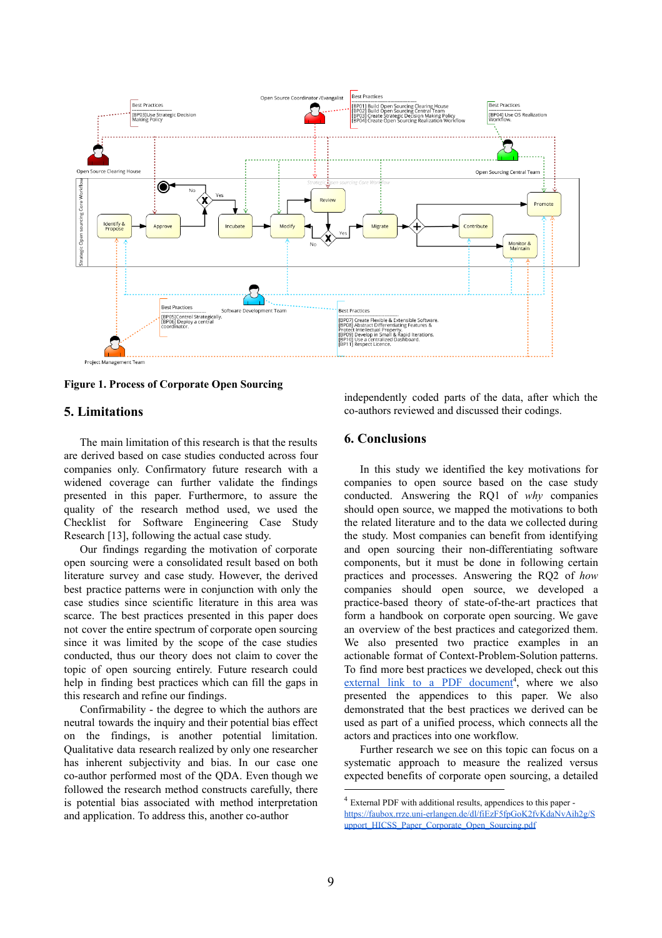

**Figure 1. Process of Corporate Open Sourcing**

## **5. Limitations**

The main limitation of this research is that the results are derived based on case studies conducted across four companies only. Confirmatory future research with a widened coverage can further validate the findings presented in this paper. Furthermore, to assure the quality of the research method used, we used the Checklist for Software Engineering Case Study Research [13], following the actual case study.

Our findings regarding the motivation of corporate open sourcing were a consolidated result based on both literature survey and case study. However, the derived best practice patterns were in conjunction with only the case studies since scientific literature in this area was scarce. The best practices presented in this paper does not cover the entire spectrum of corporate open sourcing since it was limited by the scope of the case studies conducted, thus our theory does not claim to cover the topic of open sourcing entirely. Future research could help in finding best practices which can fill the gaps in this research and refine our findings.

Confirmability - the degree to which the authors are neutral towards the inquiry and their potential bias effect on the findings, is another potential limitation. Qualitative data research realized by only one researcher has inherent subjectivity and bias. In our case one co-author performed most of the QDA. Even though we followed the research method constructs carefully, there is potential bias associated with method interpretation and application. To address this, another co-author

independently coded parts of the data, after which the co-authors reviewed and discussed their codings.

# **6. Conclusions**

In this study we identified the key motivations for companies to open source based on the case study conducted. Answering the RQ1 of *why* companies should open source, we mapped the motivations to both the related literature and to the data we collected during the study. Most companies can benefit from identifying and open sourcing their non-differentiating software components, but it must be done in following certain practices and processes. Answering the RQ2 of *how* companies should open source, we developed a practice-based theory of state-of-the-art practices that form a handbook on corporate open sourcing. We gave an overview of the best practices and categorized them. We also presented two practice examples in an actionable format of Context-Problem-Solution patterns. To find more best practices we developed, check out this external link to a PDF [document](https://faubox.rrze.uni-erlangen.de/dl/fiEzF5fpGoK2fvKdaNvAih2g/Support_HICSS_Paper_Corporate_Open_Sourcing.pdf)<sup>4</sup>, where we also presented the appendices to this paper. We also demonstrated that the best practices we derived can be used as part of a unified process, which connects all the actors and practices into one workflow.

Further research we see on this topic can focus on a systematic approach to measure the realized versus expected benefits of corporate open sourcing, a detailed

<sup>4</sup> External PDF with additional results, appendices to this paper [https://faubox.rrze.uni-erlangen.de/dl/fiEzF5fpGoK2fvKdaNvAih2g/S](https://faubox.rrze.uni-erlangen.de/dl/fiEzF5fpGoK2fvKdaNvAih2g/Support_HICSS_Paper_Corporate_Open_Sourcing.pdf) [upport\\_HICSS\\_Paper\\_Corporate\\_Open\\_Sourcing.pdf](https://faubox.rrze.uni-erlangen.de/dl/fiEzF5fpGoK2fvKdaNvAih2g/Support_HICSS_Paper_Corporate_Open_Sourcing.pdf)